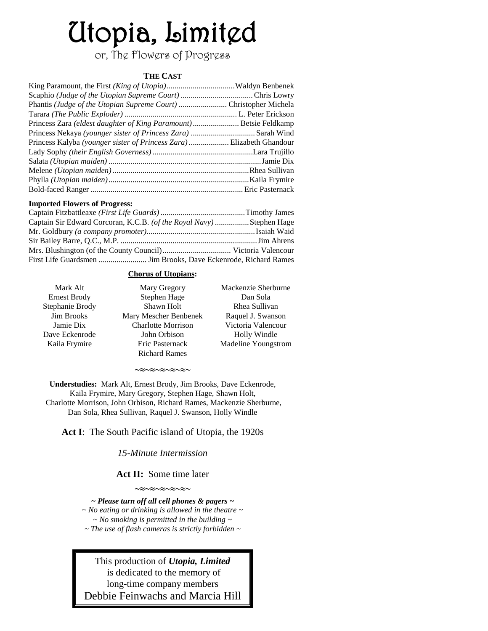# Utopia, Limited

or, The Flowers of Progress

# **THE CAST**

| Phantis (Judge of the Utopian Supreme Court)  Christopher Michela    |  |
|----------------------------------------------------------------------|--|
|                                                                      |  |
| Princess Zara (eldest daughter of King Paramount) Betsie Feldkamp    |  |
|                                                                      |  |
| Princess Kalyba (younger sister of Princess Zara) Elizabeth Ghandour |  |
|                                                                      |  |
|                                                                      |  |
|                                                                      |  |
|                                                                      |  |
|                                                                      |  |
|                                                                      |  |

#### **Imported Flowers of Progress:**

| Captain Sir Edward Corcoran, K.C.B. (of the Royal Navy) Stephen Hage |  |
|----------------------------------------------------------------------|--|
|                                                                      |  |
|                                                                      |  |
|                                                                      |  |
|                                                                      |  |

#### **Chorus of Utopians:**

| Mary Gregory              | Mackenzie Sherburne |
|---------------------------|---------------------|
| Stephen Hage              | Dan Sola            |
| Shawn Holt                | Rhea Sullivan       |
| Mary Mescher Benbenek     | Raquel J. Swanson   |
| <b>Charlotte Morrison</b> | Victoria Valencour  |
| John Orbison              | Holly Windle        |
| Eric Pasternack           | Madeline Youngstrom |
| <b>Richard Rames</b>      |                     |
|                           |                     |

 $\sim\approx\sim\approx\sim\approx\sim\approx\sim$ 

**Understudies:** Mark Alt, Ernest Brody, Jim Brooks, Dave Eckenrode, Kaila Frymire, Mary Gregory, Stephen Hage, Shawn Holt, Charlotte Morrison, John Orbison, Richard Rames, Mackenzie Sherburne, Dan Sola, Rhea Sullivan, Raquel J. Swanson, Holly Windle

**Act I**: The South Pacific island of Utopia, the 1920s

*15-Minute Intermission*

**Act II:** Some time later  $\mathop{\sim} \mathop{\approx} \mathop{\sim} \mathop{\approx} \mathop{\sim} \mathop{\approx} \mathop{\sim} \mathop{\approx} \mathop{\sim} \mathop{\sim}$ 

*~ Please turn off all cell phones & pagers ~ ~ No eating or drinking is allowed in the theatre ~ ~ No smoking is permitted in the building ~ ~ The use of flash cameras is strictly forbidden ~*

This production of *Utopia, Limited* is dedicated to the memory of long-time company members Debbie Feinwachs and Marcia Hill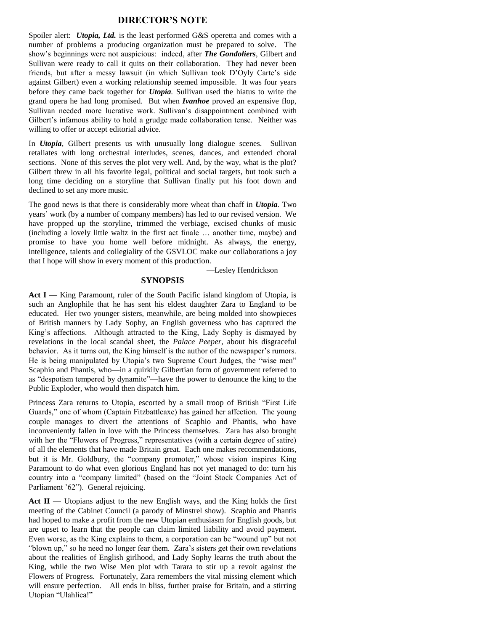#### **DIRECTOR'S NOTE**

Spoiler alert: *Utopia, Ltd.* is the least performed G&S operetta and comes with a number of problems a producing organization must be prepared to solve. The show's beginnings were not auspicious: indeed, after *The Gondoliers*, Gilbert and Sullivan were ready to call it quits on their collaboration. They had never been friends, but after a messy lawsuit (in which Sullivan took D'Oyly Carte's side against Gilbert) even a working relationship seemed impossible. It was four years before they came back together for *Utopia.* Sullivan used the hiatus to write the grand opera he had long promised. But when *Ivanhoe* proved an expensive flop, Sullivan needed more lucrative work. Sullivan's disappointment combined with Gilbert's infamous ability to hold a grudge made collaboration tense. Neither was willing to offer or accept editorial advice.

In *Utopia,* Gilbert presents us with unusually long dialogue scenes. Sullivan retaliates with long orchestral interludes, scenes, dances, and extended choral sections. None of this serves the plot very well. And, by the way, what is the plot? Gilbert threw in all his favorite legal, political and social targets, but took such a long time deciding on a storyline that Sullivan finally put his foot down and declined to set any more music.

The good news is that there is considerably more wheat than chaff in *Utopia.* Two years' work (by a number of company members) has led to our revised version. We have propped up the storyline, trimmed the verbiage, excised chunks of music (including a lovely little waltz in the first act finale … another time, maybe) and promise to have you home well before midnight. As always, the energy, intelligence, talents and collegiality of the GSVLOC make *our* collaborations a joy that I hope will show in every moment of this production.

—Lesley Hendrickson

# **SYNOPSIS**

Act I — King Paramount, ruler of the South Pacific island kingdom of Utopia, is such an Anglophile that he has sent his eldest daughter Zara to England to be educated. Her two younger sisters, meanwhile, are being molded into showpieces of British manners by Lady Sophy, an English governess who has captured the King's affections. Although attracted to the King, Lady Sophy is dismayed by revelations in the local scandal sheet, the *Palace Peeper*, about his disgraceful behavior. As it turns out, the King himself is the author of the newspaper's rumors. He is being manipulated by Utopia's two Supreme Court Judges, the "wise men" Scaphio and Phantis, who—in a quirkily Gilbertian form of government referred to as "despotism tempered by dynamite"—have the power to denounce the king to the Public Exploder, who would then dispatch him.

Princess Zara returns to Utopia, escorted by a small troop of British "First Life Guards," one of whom (Captain Fitzbattleaxe) has gained her affection. The young couple manages to divert the attentions of Scaphio and Phantis, who have inconveniently fallen in love with the Princess themselves. Zara has also brought with her the "Flowers of Progress," representatives (with a certain degree of satire) of all the elements that have made Britain great. Each one makes recommendations, but it is Mr. Goldbury, the "company promoter," whose vision inspires King Paramount to do what even glorious England has not yet managed to do: turn his country into a "company limited" (based on the "Joint Stock Companies Act of Parliament '62"). General rejoicing.

Act II — Utopians adjust to the new English ways, and the King holds the first meeting of the Cabinet Council (a parody of Minstrel show). Scaphio and Phantis had hoped to make a profit from the new Utopian enthusiasm for English goods, but are upset to learn that the people can claim limited liability and avoid payment. Even worse, as the King explains to them, a corporation can be "wound up" but not "blown up," so he need no longer fear them. Zara's sisters get their own revelations about the realities of English girlhood, and Lady Sophy learns the truth about the King, while the two Wise Men plot with Tarara to stir up a revolt against the Flowers of Progress. Fortunately, Zara remembers the vital missing element which will ensure perfection. All ends in bliss, further praise for Britain, and a stirring Utopian "Ulahlica!"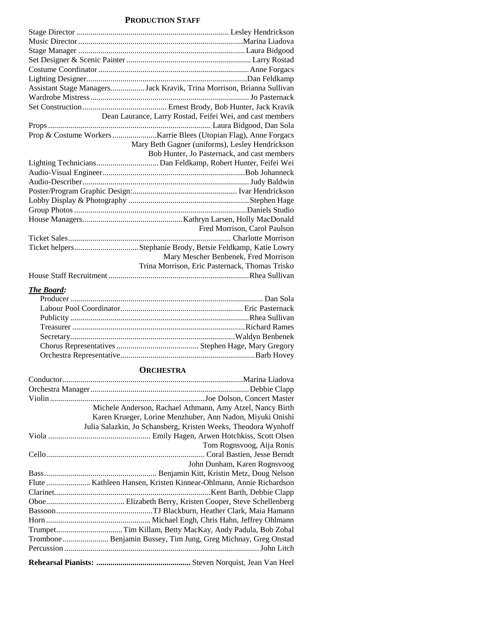#### **PRODUCTION STAFF**

| Assistant Stage ManagersJack Kravik, Trina Morrison, Brianna Sullivan |
|-----------------------------------------------------------------------|
|                                                                       |
|                                                                       |
| Dean Laurance, Larry Rostad, Feifei Wei, and cast members             |
|                                                                       |
|                                                                       |
| Mary Beth Gagner (uniforms), Lesley Hendrickson                       |
| Bob Hunter, Jo Pasternack, and cast members                           |
|                                                                       |
|                                                                       |
|                                                                       |
|                                                                       |
|                                                                       |
|                                                                       |
|                                                                       |
| Fred Morrison, Carol Paulson                                          |
|                                                                       |
| Ticket helpersStephanie Brody, Betsie Feldkamp, Katie Lowry           |
| Mary Mescher Benbenek, Fred Morrison                                  |
| Trina Morrison, Eric Pasternack, Thomas Trisko                        |
|                                                                       |

# *The Board:*

# **ORCHESTRA**

| Michele Anderson, Rachael Athmann, Amy Atzel, Nancy Birth      |
|----------------------------------------------------------------|
| Karen Krueger, Lorine Menzhuber, Ann Nadon, Miyuki Onishi      |
| Julia Salazkin, Jo Schansberg, Kristen Weeks, Theodora Wynhoff |
|                                                                |
| Tom Rognsvoog, Aija Ronis                                      |
|                                                                |
| John Dunham, Karen Rognsvoog                                   |
|                                                                |
|                                                                |
|                                                                |
|                                                                |
|                                                                |
|                                                                |
|                                                                |
|                                                                |
|                                                                |
|                                                                |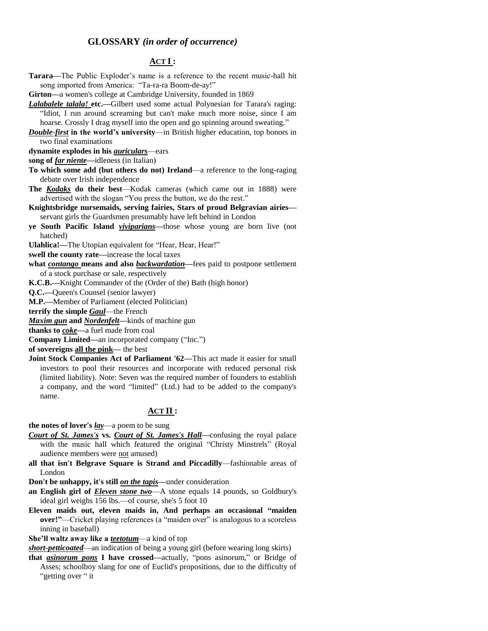## **GLOSSARY** *(in order of occurrence)*

# **ACT I :**

| Tarara—The Public Exploder's name is a reference to the recent music-hall hit                                                                              |
|------------------------------------------------------------------------------------------------------------------------------------------------------------|
| song imported from America: "Ta-ra-ra Boom-de-ay!"                                                                                                         |
| Girton—a women's college at Cambridge University, founded in 1869                                                                                          |
| Lalabalele talala! etc.-Gilbert used some actual Polynesian for Tarara's raging:                                                                           |
| "Idiot, I run around screaming but can't make much more noise, since I am<br>hoarse. Crossly I drag myself into the open and go spinning around sweating." |
| <b>Double-first</b> in the world's university—in British higher education, top honors in                                                                   |
| two final examinations                                                                                                                                     |
| dynamite explodes in his <i>auriculars</i> -ears                                                                                                           |
| song of far niente—idleness (in Italian)                                                                                                                   |
| To which some add (but others do not) Ireland—a reference to the long-raging                                                                               |
| debate over Irish independence                                                                                                                             |
| The <b>Kodaks</b> do their best—Kodak cameras (which came out in 1888) were                                                                                |
| advertised with the slogan "You press the button, we do the rest."                                                                                         |
| Knightsbridge nursemaids, serving fairies, Stars of proud Belgravian airies-                                                                               |
| servant girls the Guardsmen presumably have left behind in London                                                                                          |
| ye South Pacific Island <i>viviparians</i> —those whose young are born live (not                                                                           |
| hatched)                                                                                                                                                   |
| Ulahlica!-The Utopian equivalent for "Hear, Hear, Hear!"                                                                                                   |
| swell the county rate-increase the local taxes                                                                                                             |
| what contango means and also backwardation-fees paid to postpone settlement                                                                                |
| of a stock purchase or sale, respectively                                                                                                                  |
| K.C.B.—Knight Commander of the (Order of the) Bath (high honor)                                                                                            |
| Q.C.-Queen's Counsel (senior lawyer)                                                                                                                       |
| M.P.-Member of Parliament (elected Politician)                                                                                                             |
| terrify the simple <b>Gaul</b> —the French                                                                                                                 |
| Maxim gun and Nordenfelt-kinds of machine gun                                                                                                              |
| thanks to coke-a fuel made from coal                                                                                                                       |
| Company Limited-an incorporated company ("Inc.")                                                                                                           |
| of sovereigns all the pink- the best                                                                                                                       |
| Joint Stock Companies Act of Parliament '62—This act made it easier for small                                                                              |
| investors to pool their resources and incorporate with reduced personal risk                                                                               |
| (limited liability). Note: Seven was the required number of founders to establish                                                                          |
| a company, and the word "limited" (Ltd.) had to be added to the company's                                                                                  |

## **ACT II :**

**the notes of lover's** *lay*—a poem to be sung

name.

- *Court of St. James's* **vs.** *Court of St. James's Hall—*confusing the royal palace with the music hall which featured the original "Christy Minstrels" (Royal audience members were not amused)
- **all that isn't Belgrave Square is Strand and Piccadilly**—fashionable areas of London

**Don't be unhappy, it's still** *on the tapis—*under consideration

- **an English girl of** *Eleven stone two*—A stone equals 14 pounds, so Goldbury's ideal girl weighs 156 lbs.—of course, she's 5 foot 10
- Eleven maids out, eleven maids in, And perhaps an occasional "maiden **over!"—Cricket playing references (a "maiden over" is analogous to a scoreless** inning in baseball)

**She'll waltz away like a** *teetotum*—a kind of top

*short-petticoated*—an indication of being a young girl (before wearing long skirts)

**that** *asinorum pons* **I have crossed—**actually, "pons asinorum," or Bridge of Asses; schoolboy slang for one of Euclid's propositions, due to the difficulty of "getting over " it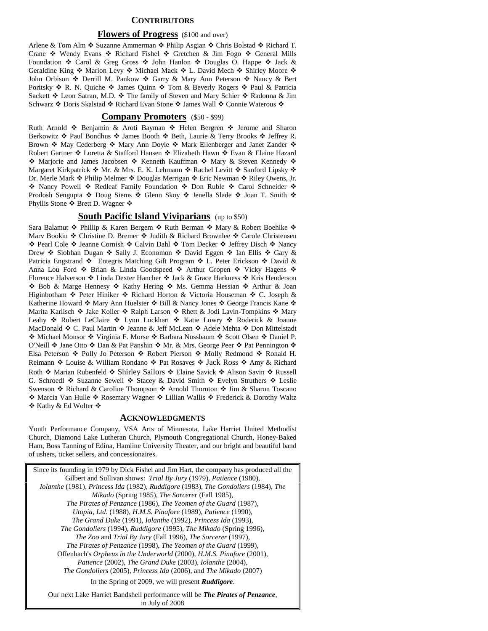#### **CONTRIBUTORS**

#### **Flowers of Progress** (\$100 and over)

Arlene & Tom Alm ❖ Suzanne Ammerman ❖ Philip Asgian ❖ Chris Bolstad ❖ Richard T. Crane  $\cdot$  Wendy Evans  $\cdot$  Richard Fishel  $\cdot$  Gretchen & Jim Fogo  $\cdot$  General Mills Foundation  $\cdot$  Carol & Greg Gross  $\cdot$  John Hanlon  $\cdot$  Douglas O. Happe  $\cdot$  Jack & Geraldine King ❖ Marion Levy ❖ Michael Mack ❖ L. David Mech ❖ Shirley Moore ❖ John Orbison  $\cdot$  Derrill M. Pankow  $\cdot$  Garry & Mary Ann Peterson  $\cdot$  Nancy & Bert Poritsky  $\hat{\cdot}$  R. N. Quiche  $\hat{\cdot}$  James Quinn  $\hat{\cdot}$  Tom & Beverly Rogers  $\hat{\cdot}$  Paul & Patricia Sackett  $\cdot$  Leon Satran, M.D.  $\cdot$  The family of Steven and Mary Schier  $\cdot$  Radonna & Jim Schwarz ❖ Doris Skalstad ❖ Richard Evan Stone ❖ James Wall ❖ Connie Waterous ❖

#### **Company Promoters** (\$50 - \$99)

Ruth Arnold  $\div$  Benjamin & Aroti Bayman  $\div$  Helen Bergren  $\div$  Jerome and Sharon Berkowitz  $\clubsuit$  Paul Bondhus  $\clubsuit$  James Booth  $\clubsuit$  Beth, Laurie & Terry Brooks  $\clubsuit$  Jeffrey R. Brown  $\cdot$  May Cederberg  $\cdot$  Mary Ann Doyle  $\cdot$  Mark Ellenberger and Janet Zander  $\cdot$ Robert Gartner ❖ Loretta & Stafford Hansen ❖ Elizabeth Hawn ❖ Evan & Elaine Hazard ◆ Marjorie and James Jacobsen ◆ Kenneth Kauffman ◆ Mary & Steven Kennedy ◆ Margaret Kirkpatrick  $*$  Mr. & Mrs. E. K. Lehmann  $*$  Rachel Levitt  $*$  Sanford Lipsky  $*$ Dr. Merle Mark ❖ Philip Melmer ❖ Douglas Merrigan ❖ Eric Newman ❖ Riley Owens, Jr. ◆ Nancy Powell ◆ Redleaf Family Foundation ◆ Don Ruble ◆ Carol Schneider ◆ Prodosh Sengupta ❖ Doug Siems ❖ Glenn Skoy ❖ Jenella Slade ❖ Joan T. Smith ❖ Phyllis Stone  $\cdot \cdot$  Brett D. Wagner  $\cdot \cdot$ 

#### **<u>South Pacific Island Viviparians</u>** (up to \$50)

Sara Balamut  $\clubsuit$  Phillip & Karen Bergem  $\clubsuit$  Ruth Berman  $\clubsuit$  Mary & Robert Boehlke  $\clubsuit$ Mary Bookin  $\cdot$  Christine D. Bremer  $\cdot$  Judith & Richard Brownlee  $\cdot$  Carole Christensen ◆ Pearl Cole ◆ Jeanne Cornish ◆ Calvin Dahl ◆ Tom Decker ◆ Jeffrey Disch ◆ Nancy Drew  $\hat{\mathbf{v}}$  Siobhan Dugan  $\hat{\mathbf{v}}$  Sally J. Economon  $\hat{\mathbf{v}}$  David Eggen  $\hat{\mathbf{v}}$  Ian Ellis  $\hat{\mathbf{v}}$  Gary & Patricia Engstrand  $\triangleleft$  Entegris Matching Gift Program  $\triangleleft$  L. Peter Erickson  $\triangleleft$  David & Anna Lou Ford ❖ Brian & Linda Goodspeed ❖ Arthur Gropen ❖ Vicky Hagens ❖ Florence Halverson �� Linda Dexter Hancher �� Jack & Grace Harkness �� Kris Henderson ◆ Bob & Marge Hennesy ◆ Kathy Hering ◆ Ms. Gemma Hessian ◆ Arthur & Joan Higinbotham ❖ Peter Hiniker ❖ Richard Horton & Victoria Houseman ❖ C. Joseph & Katherine Howard  $\triangleleft$  Mary Ann Huelster  $\triangleleft$  Bill & Nancy Jones  $\triangleleft$  George Francis Kane  $\triangleleft$ Marita Karlisch  $\triangleleft$  Jake Koller  $\triangleleft$  Ralph Larson  $\triangleleft$  Rhett & Jodi Lavin-Tompkins  $\triangleleft$  Mary Leahy ❖ Robert LeClaire ❖ Lynn Lockhart ❖ Katie Lowry ❖ Roderick & Joanne MacDonald  $\cdot C$ . Paul Martin  $\cdot D$  Jeanne & Jeff McLean  $\cdot A$  Adele Mehta  $\cdot D$  Don Mittelstadt ◆ Michael Monsor ◆ Virginia F. Morse ◆ Barbara Nussbaum ◆ Scott Olsen ◆ Daniel P. O'Neill  $\cdot$  Jane Otto  $\cdot$  Dan & Pat Panshin  $\cdot$  Mr. & Mrs. George Peer  $\cdot$  Pat Pennington  $\cdot$ Elsa Peterson  $\triangle$  Polly Jo Peterson  $\triangle$  Robert Pierson  $\triangle$  Molly Redmond  $\triangle$  Ronald H. Reimann ❖ Louise & William Rondano ❖ Pat Rosaves ❖ Jack Ross ❖ Amy & Richard Roth ❖ Marian Rubenfeld ❖ Shirley Sailors ❖ Elaine Savick ❖ Alison Savin ❖ Russell G. Schroedl  $\cdot$  Suzanne Sewell  $\cdot \cdot$  Stacey & David Smith  $\cdot \cdot$  Evelyn Struthers  $\cdot \cdot$  Leslie Swenson ❖ Richard & Caroline Thompson ❖ Arnold Thornton ❖ Jim & Sharon Toscano ◆ Marcia Van Hulle ◆ Rosemary Wagner ◆ Lillian Wallis ◆ Frederick & Dorothy Waltz ❖ Kathy & Ed Wolter ❖

#### **ACKNOWLEDGMENTS**

Youth Performance Company, VSA Arts of Minnesota, Lake Harriet United Methodist Church, Diamond Lake Lutheran Church, Plymouth Congregational Church, Honey-Baked Ham, Boss Tanning of Edina, Hamline University Theater, and our bright and beautiful band of ushers, ticket sellers, and concessionaires.

Since its founding in 1979 by Dick Fishel and Jim Hart, the company has produced all the Gilbert and Sullivan shows: *Trial By Jury* (1979), *Patience* (1980), *Iolanthe* (1981), *Princess Ida* (1982), *Ruddigore* (1983), *The Gondoliers* (1984), *The Mikado* (Spring 1985), *The Sorcerer* (Fall 1985), *The Pirates of Penzance* (1986), *The Yeomen of the Guard* (1987), *Utopia, Ltd.* (1988), *H.M.S. Pinafore* (1989), *Patience* (1990), *The Grand Duke* (1991), *Iolanthe* (1992), *Princess Ida* (1993), *The Gondoliers* (1994), *Ruddigore* (1995), *The Mikado* (Spring 1996), *The Zoo* and *Trial By Jury* (Fall 1996), *The Sorcerer* (1997), *The Pirates of Penzance* (1998), *The Yeomen of the Guard* (1999), Offenbach's *Orpheus in the Underworld* (2000), *H.M.S. Pinafore* (2001), *Patience* (2002), *The Grand Duke* (2003), *Iolanthe* (2004), *The Gondoliers* (2005), *Princess Ida* (2006), and *The Mikado* (2007) In the Spring of 2009, we will present *Ruddigore*.

Our next Lake Harriet Bandshell performance will be *The Pirates of Penzance*, in July of 2008